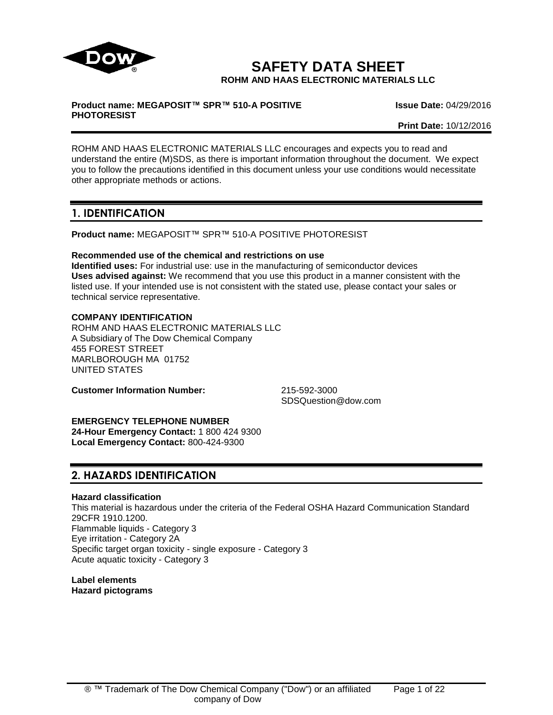

**SAFETY DATA SHEET ROHM AND HAAS ELECTRONIC MATERIALS LLC**

#### **Product name: MEGAPOSIT™ SPR™ 510-A POSITIVE PHOTORESIST**

**Issue Date:** 04/29/2016

**Print Date:** 10/12/2016

ROHM AND HAAS ELECTRONIC MATERIALS LLC encourages and expects you to read and understand the entire (M)SDS, as there is important information throughout the document. We expect you to follow the precautions identified in this document unless your use conditions would necessitate other appropriate methods or actions.

# **1. IDENTIFICATION**

**Product name:** MEGAPOSIT™ SPR™ 510-A POSITIVE PHOTORESIST

# **Recommended use of the chemical and restrictions on use**

**Identified uses:** For industrial use: use in the manufacturing of semiconductor devices **Uses advised against:** We recommend that you use this product in a manner consistent with the listed use. If your intended use is not consistent with the stated use, please contact your sales or technical service representative.

# **COMPANY IDENTIFICATION**

ROHM AND HAAS ELECTRONIC MATERIALS LLC A Subsidiary of The Dow Chemical Company 455 FOREST STREET MARLBOROUGH MA 01752 UNITED STATES

**Customer Information Number:** 215-592-3000

SDSQuestion@dow.com

# **EMERGENCY TELEPHONE NUMBER**

**24-Hour Emergency Contact:** 1 800 424 9300 **Local Emergency Contact:** 800-424-9300

# **2. HAZARDS IDENTIFICATION**

# **Hazard classification**

This material is hazardous under the criteria of the Federal OSHA Hazard Communication Standard 29CFR 1910.1200. Flammable liquids - Category 3 Eye irritation - Category 2A Specific target organ toxicity - single exposure - Category 3 Acute aquatic toxicity - Category 3

**Label elements Hazard pictograms**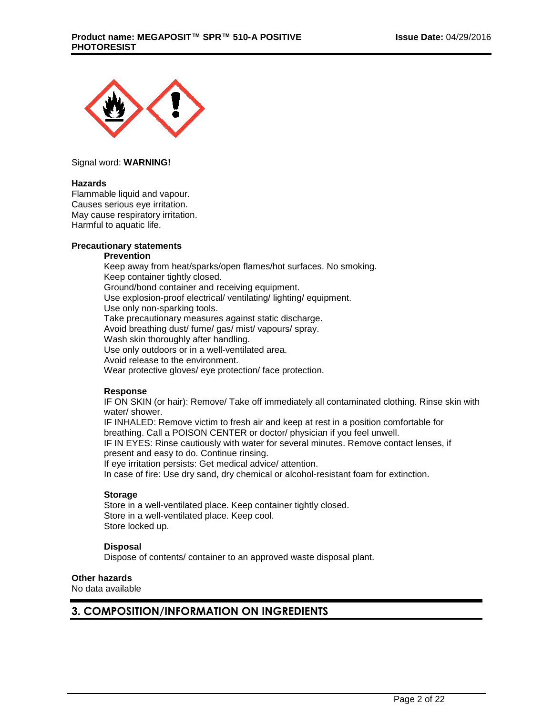

Signal word: **WARNING!**

#### **Hazards**

Flammable liquid and vapour. Causes serious eye irritation. May cause respiratory irritation. Harmful to aquatic life.

# **Precautionary statements**

#### **Prevention**

Keep away from heat/sparks/open flames/hot surfaces. No smoking. Keep container tightly closed. Ground/bond container and receiving equipment. Use explosion-proof electrical/ ventilating/ lighting/ equipment. Use only non-sparking tools. Take precautionary measures against static discharge. Avoid breathing dust/ fume/ gas/ mist/ vapours/ spray. Wash skin thoroughly after handling. Use only outdoors or in a well-ventilated area. Avoid release to the environment. Wear protective gloves/ eye protection/ face protection.

#### **Response**

IF ON SKIN (or hair): Remove/ Take off immediately all contaminated clothing. Rinse skin with water/ shower.

IF INHALED: Remove victim to fresh air and keep at rest in a position comfortable for breathing. Call a POISON CENTER or doctor/ physician if you feel unwell. IF IN EYES: Rinse cautiously with water for several minutes. Remove contact lenses, if

present and easy to do. Continue rinsing.

If eye irritation persists: Get medical advice/ attention.

In case of fire: Use dry sand, dry chemical or alcohol-resistant foam for extinction.

# **Storage**

Store in a well-ventilated place. Keep container tightly closed. Store in a well-ventilated place. Keep cool. Store locked up.

# **Disposal**

Dispose of contents/ container to an approved waste disposal plant.

# **Other hazards**

No data available

# **3. COMPOSITION/INFORMATION ON INGREDIENTS**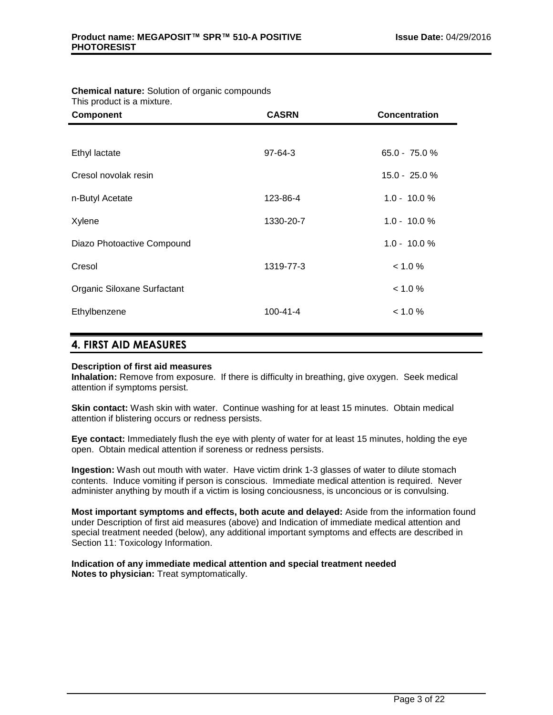| This product is a mixture.  |                |                  |
|-----------------------------|----------------|------------------|
| <b>Component</b>            | <b>CASRN</b>   | Concentration    |
|                             |                |                  |
| Ethyl lactate               | $97 - 64 - 3$  | $65.0 - 75.0 \%$ |
| Cresol novolak resin        |                | 15.0 - 25.0 %    |
| n-Butyl Acetate             | 123-86-4       | $1.0 - 10.0 %$   |
| Xylene                      | 1330-20-7      | $1.0 - 10.0 %$   |
| Diazo Photoactive Compound  |                | $1.0 - 10.0 %$   |
| Cresol                      | 1319-77-3      | < 1.0 %          |
| Organic Siloxane Surfactant |                | < 1.0 %          |
| Ethylbenzene                | $100 - 41 - 4$ | < 1.0 %          |
|                             |                |                  |

# **Chemical nature:** Solution of organic compounds

# **4. FIRST AID MEASURES**

# **Description of first aid measures**

**Inhalation:** Remove from exposure. If there is difficulty in breathing, give oxygen. Seek medical attention if symptoms persist.

**Skin contact:** Wash skin with water. Continue washing for at least 15 minutes. Obtain medical attention if blistering occurs or redness persists.

**Eye contact:** Immediately flush the eye with plenty of water for at least 15 minutes, holding the eye open. Obtain medical attention if soreness or redness persists.

**Ingestion:** Wash out mouth with water. Have victim drink 1-3 glasses of water to dilute stomach contents. Induce vomiting if person is conscious. Immediate medical attention is required. Never administer anything by mouth if a victim is losing conciousness, is unconcious or is convulsing.

**Most important symptoms and effects, both acute and delayed:** Aside from the information found under Description of first aid measures (above) and Indication of immediate medical attention and special treatment needed (below), any additional important symptoms and effects are described in Section 11: Toxicology Information.

**Indication of any immediate medical attention and special treatment needed Notes to physician:** Treat symptomatically.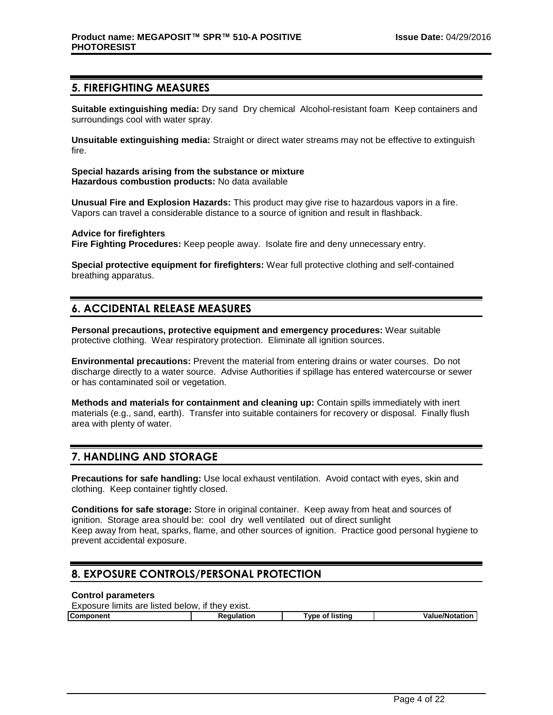# **5. FIREFIGHTING MEASURES**

**Suitable extinguishing media:** Dry sand Dry chemical Alcohol-resistant foam Keep containers and surroundings cool with water spray.

**Unsuitable extinguishing media:** Straight or direct water streams may not be effective to extinguish fire.

**Special hazards arising from the substance or mixture Hazardous combustion products:** No data available

**Unusual Fire and Explosion Hazards:** This product may give rise to hazardous vapors in a fire. Vapors can travel a considerable distance to a source of ignition and result in flashback.

#### **Advice for firefighters**

**Fire Fighting Procedures:** Keep people away. Isolate fire and deny unnecessary entry.

**Special protective equipment for firefighters:** Wear full protective clothing and self-contained breathing apparatus.

# **6. ACCIDENTAL RELEASE MEASURES**

**Personal precautions, protective equipment and emergency procedures:** Wear suitable protective clothing. Wear respiratory protection. Eliminate all ignition sources.

**Environmental precautions:** Prevent the material from entering drains or water courses. Do not discharge directly to a water source. Advise Authorities if spillage has entered watercourse or sewer or has contaminated soil or vegetation.

**Methods and materials for containment and cleaning up:** Contain spills immediately with inert materials (e.g., sand, earth). Transfer into suitable containers for recovery or disposal. Finally flush area with plenty of water.

# **7. HANDLING AND STORAGE**

**Precautions for safe handling:** Use local exhaust ventilation. Avoid contact with eyes, skin and clothing. Keep container tightly closed.

**Conditions for safe storage:** Store in original container. Keep away from heat and sources of ignition. Storage area should be: cool dry well ventilated out of direct sunlight Keep away from heat, sparks, flame, and other sources of ignition. Practice good personal hygiene to prevent accidental exposure.

# **8. EXPOSURE CONTROLS/PERSONAL PROTECTION**

#### **Control parameters**  $E(x) = \frac{1}{2} \int_0^1 f(x) \, dx$

| Exposure limits are listed below.<br>if they exist. |                 |                       |  |  |
|-----------------------------------------------------|-----------------|-----------------------|--|--|
| Reaulation                                          | 'vpe of listina | <b>Value/Notation</b> |  |  |
|                                                     |                 |                       |  |  |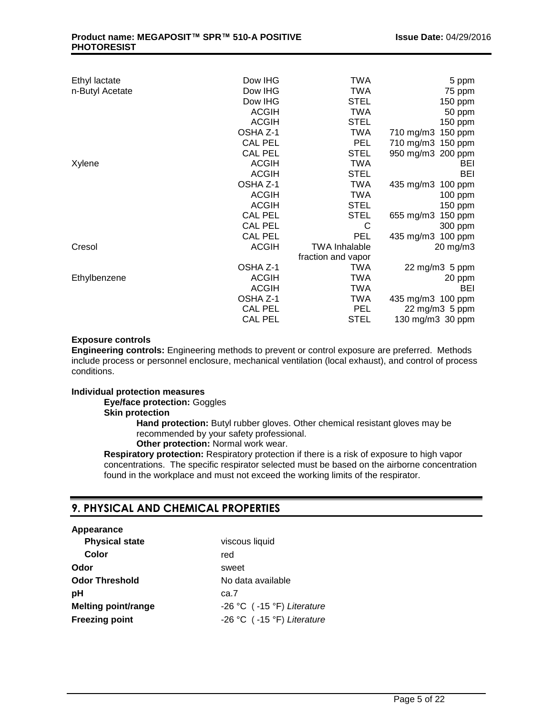| Ethyl lactate   | Dow IHG        | <b>TWA</b>           | 5 ppm                |
|-----------------|----------------|----------------------|----------------------|
| n-Butyl Acetate | Dow IHG        | TWA                  | 75 ppm               |
|                 | Dow IHG        | <b>STEL</b>          | 150 ppm              |
|                 | <b>ACGIH</b>   | TWA                  | 50 ppm               |
|                 | <b>ACGIH</b>   | <b>STEL</b>          | 150 ppm              |
|                 | OSHA Z-1       | TWA                  | 710 mg/m3 150 ppm    |
|                 | <b>CAL PEL</b> | <b>PEL</b>           | 710 mg/m3 150 ppm    |
|                 | <b>CAL PEL</b> | <b>STEL</b>          | 950 mg/m3 200 ppm    |
| Xylene          | <b>ACGIH</b>   | TWA                  | BEI                  |
|                 | <b>ACGIH</b>   | <b>STEL</b>          | BEI                  |
|                 | OSHA Z-1       | <b>TWA</b>           | 435 mg/m3<br>100 ppm |
|                 | <b>ACGIH</b>   | <b>TWA</b>           | 100 ppm              |
|                 | <b>ACGIH</b>   | <b>STEL</b>          | 150 ppm              |
|                 | <b>CAL PEL</b> | <b>STEL</b>          | 150 ppm<br>655 mg/m3 |
|                 | <b>CAL PEL</b> | C                    | 300 ppm              |
|                 | <b>CAL PEL</b> | <b>PEL</b>           | 435 mg/m3<br>100 ppm |
| Cresol          | <b>ACGIH</b>   | <b>TWA Inhalable</b> | 20 mg/m3             |
|                 |                | fraction and vapor   |                      |
|                 | OSHA Z-1       | TWA                  | 22 mg/m3 5 ppm       |
| Ethylbenzene    | <b>ACGIH</b>   | TWA                  | 20 ppm               |
|                 | <b>ACGIH</b>   | <b>TWA</b>           | BEI                  |
|                 | OSHA Z-1       | <b>TWA</b>           | 435 mg/m3 100 ppm    |
|                 | <b>CAL PEL</b> | <b>PEL</b>           | 22 mg/m3 5 ppm       |
|                 | <b>CAL PEL</b> | <b>STEL</b>          | 130 mg/m3 30 ppm     |

# **Exposure controls**

**Engineering controls:** Engineering methods to prevent or control exposure are preferred. Methods include process or personnel enclosure, mechanical ventilation (local exhaust), and control of process conditions.

# **Individual protection measures**

**Eye/face protection:** Goggles **Skin protection**

**Hand protection:** Butyl rubber gloves. Other chemical resistant gloves may be recommended by your safety professional.

# **Other protection:** Normal work wear.

**Respiratory protection:** Respiratory protection if there is a risk of exposure to high vapor concentrations. The specific respirator selected must be based on the airborne concentration found in the workplace and must not exceed the working limits of the respirator.

# **9. PHYSICAL AND CHEMICAL PROPERTIES**

# **Appearance**

| <b>Physical state</b>      | viscous liquid             |
|----------------------------|----------------------------|
| Color                      | red                        |
| Odor                       | sweet                      |
| <b>Odor Threshold</b>      | No data available          |
| рH                         | ca.7                       |
| <b>Melting point/range</b> | -26 °C (-15 °F) Literature |
| <b>Freezing point</b>      | -26 °C (-15 °F) Literature |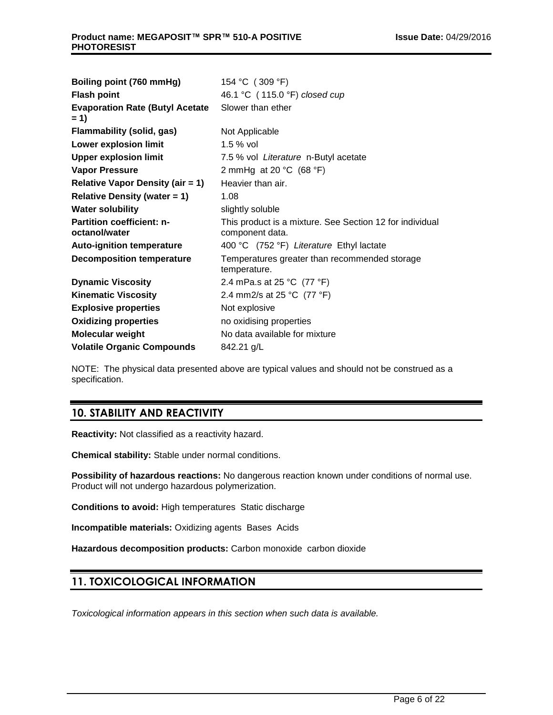| Boiling point (760 mmHg)                          | 154 °C (309 °F)                                                             |  |  |
|---------------------------------------------------|-----------------------------------------------------------------------------|--|--|
| <b>Flash point</b>                                | 46.1 °C (115.0 °F) closed cup                                               |  |  |
| <b>Evaporation Rate (Butyl Acetate</b><br>$= 1$   | Slower than ether                                                           |  |  |
| Flammability (solid, gas)                         | Not Applicable                                                              |  |  |
| <b>Lower explosion limit</b>                      | $1.5%$ vol                                                                  |  |  |
| <b>Upper explosion limit</b>                      | 7.5 % vol Literature n-Butyl acetate                                        |  |  |
| <b>Vapor Pressure</b>                             | 2 mmHg at 20 $°C$ (68 $°F$ )                                                |  |  |
| <b>Relative Vapor Density (air = 1)</b>           | Heavier than air.                                                           |  |  |
| <b>Relative Density (water = 1)</b>               | 1.08                                                                        |  |  |
| <b>Water solubility</b>                           | slightly soluble                                                            |  |  |
| <b>Partition coefficient: n-</b><br>octanol/water | This product is a mixture. See Section 12 for individual<br>component data. |  |  |
| <b>Auto-ignition temperature</b>                  | 400 °C (752 °F) Literature Ethyl lactate                                    |  |  |
| <b>Decomposition temperature</b>                  | Temperatures greater than recommended storage<br>temperature.               |  |  |
| <b>Dynamic Viscosity</b>                          | 2.4 mPa.s at 25 °C $(77 °F)$                                                |  |  |
| <b>Kinematic Viscosity</b>                        | 2.4 mm2/s at 25 °C (77 °F)                                                  |  |  |
| <b>Explosive properties</b>                       | Not explosive                                                               |  |  |
| <b>Oxidizing properties</b>                       | no oxidising properties                                                     |  |  |
| <b>Molecular weight</b>                           | No data available for mixture                                               |  |  |
| <b>Volatile Organic Compounds</b>                 | 842.21 g/L                                                                  |  |  |

NOTE: The physical data presented above are typical values and should not be construed as a specification.

# **10. STABILITY AND REACTIVITY**

**Reactivity:** Not classified as a reactivity hazard.

**Chemical stability:** Stable under normal conditions.

**Possibility of hazardous reactions:** No dangerous reaction known under conditions of normal use. Product will not undergo hazardous polymerization.

**Conditions to avoid:** High temperatures Static discharge

**Incompatible materials:** Oxidizing agents Bases Acids

**Hazardous decomposition products:** Carbon monoxide carbon dioxide

# **11. TOXICOLOGICAL INFORMATION**

*Toxicological information appears in this section when such data is available.*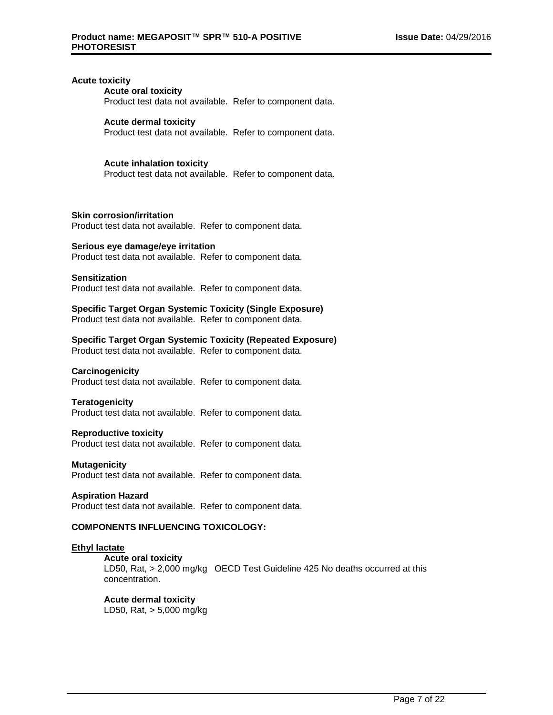## **Acute toxicity**

## **Acute oral toxicity**

Product test data not available. Refer to component data.

#### **Acute dermal toxicity**

Product test data not available. Refer to component data.

#### **Acute inhalation toxicity**

Product test data not available. Refer to component data.

#### **Skin corrosion/irritation**

Product test data not available. Refer to component data.

#### **Serious eye damage/eye irritation**

Product test data not available. Refer to component data.

#### **Sensitization**

Product test data not available. Refer to component data.

#### **Specific Target Organ Systemic Toxicity (Single Exposure)**

Product test data not available. Refer to component data.

## **Specific Target Organ Systemic Toxicity (Repeated Exposure)**

Product test data not available. Refer to component data.

#### **Carcinogenicity**

Product test data not available. Refer to component data.

#### **Teratogenicity**

Product test data not available. Refer to component data.

#### **Reproductive toxicity**

Product test data not available. Refer to component data.

#### **Mutagenicity**

Product test data not available. Refer to component data.

#### **Aspiration Hazard**

Product test data not available. Refer to component data.

# **COMPONENTS INFLUENCING TOXICOLOGY:**

#### **Ethyl lactate**

**Acute oral toxicity**

LD50, Rat, > 2,000 mg/kg OECD Test Guideline 425 No deaths occurred at this concentration.

#### **Acute dermal toxicity**

LD50, Rat, > 5,000 mg/kg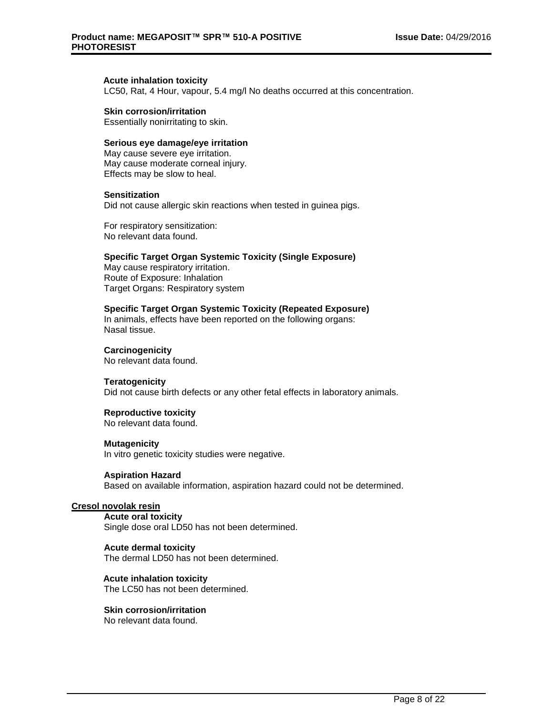#### **Acute inhalation toxicity**

LC50, Rat, 4 Hour, vapour, 5.4 mg/l No deaths occurred at this concentration.

#### **Skin corrosion/irritation**

Essentially nonirritating to skin.

# **Serious eye damage/eye irritation**

May cause severe eye irritation. May cause moderate corneal injury. Effects may be slow to heal.

#### **Sensitization**

Did not cause allergic skin reactions when tested in guinea pigs.

For respiratory sensitization: No relevant data found.

#### **Specific Target Organ Systemic Toxicity (Single Exposure)**

May cause respiratory irritation. Route of Exposure: Inhalation Target Organs: Respiratory system

#### **Specific Target Organ Systemic Toxicity (Repeated Exposure)**

In animals, effects have been reported on the following organs: Nasal tissue.

#### **Carcinogenicity**

No relevant data found.

#### **Teratogenicity**

Did not cause birth defects or any other fetal effects in laboratory animals.

#### **Reproductive toxicity**

No relevant data found.

#### **Mutagenicity**

In vitro genetic toxicity studies were negative.

#### **Aspiration Hazard**

Based on available information, aspiration hazard could not be determined.

# **Cresol novolak resin**

**Acute oral toxicity** Single dose oral LD50 has not been determined.

#### **Acute dermal toxicity**

The dermal LD50 has not been determined.

#### **Acute inhalation toxicity** The LC50 has not been determined.

**Skin corrosion/irritation**

No relevant data found.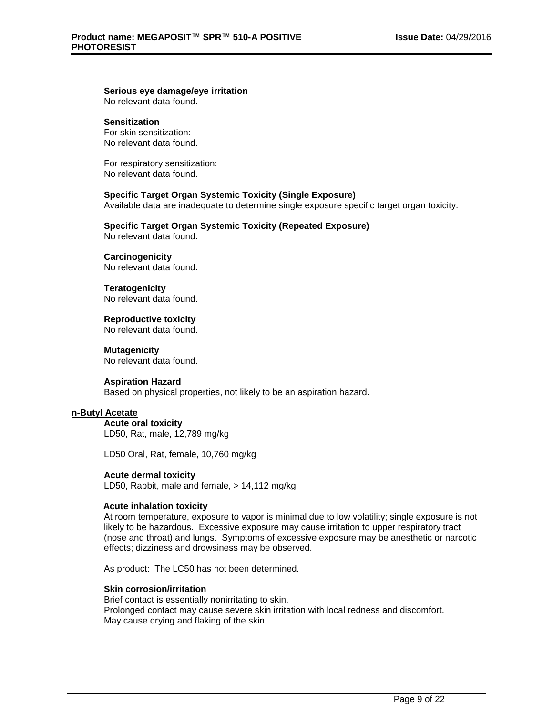# **Serious eye damage/eye irritation**

No relevant data found.

# **Sensitization**

For skin sensitization: No relevant data found.

For respiratory sensitization: No relevant data found.

# **Specific Target Organ Systemic Toxicity (Single Exposure)**

Available data are inadequate to determine single exposure specific target organ toxicity.

# **Specific Target Organ Systemic Toxicity (Repeated Exposure)**

No relevant data found.

# **Carcinogenicity**

No relevant data found.

# **Teratogenicity**

No relevant data found.

# **Reproductive toxicity**

No relevant data found.

#### **Mutagenicity** No relevant data found.

**Aspiration Hazard**

Based on physical properties, not likely to be an aspiration hazard.

# **n-Butyl Acetate**

**Acute oral toxicity** LD50, Rat, male, 12,789 mg/kg

LD50 Oral, Rat, female, 10,760 mg/kg

# **Acute dermal toxicity**

LD50, Rabbit, male and female, > 14,112 mg/kg

# **Acute inhalation toxicity**

At room temperature, exposure to vapor is minimal due to low volatility; single exposure is not likely to be hazardous. Excessive exposure may cause irritation to upper respiratory tract (nose and throat) and lungs. Symptoms of excessive exposure may be anesthetic or narcotic effects; dizziness and drowsiness may be observed.

As product: The LC50 has not been determined.

# **Skin corrosion/irritation**

Brief contact is essentially nonirritating to skin. Prolonged contact may cause severe skin irritation with local redness and discomfort. May cause drying and flaking of the skin.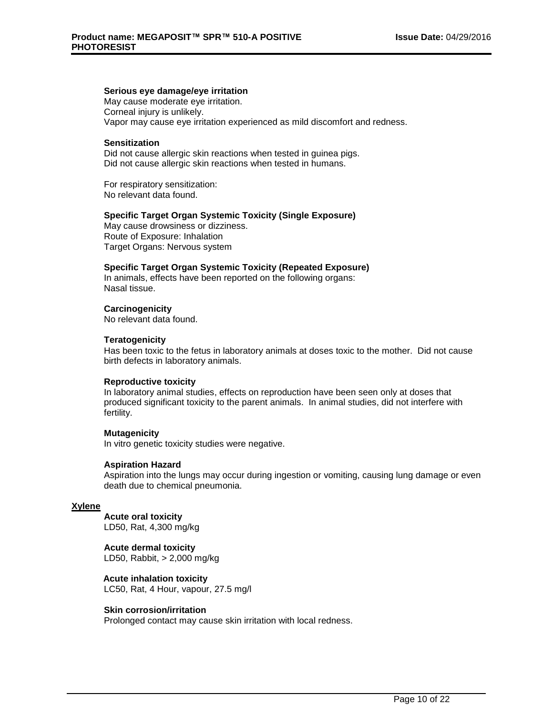## **Serious eye damage/eye irritation**

May cause moderate eye irritation. Corneal injury is unlikely. Vapor may cause eye irritation experienced as mild discomfort and redness.

#### **Sensitization**

Did not cause allergic skin reactions when tested in guinea pigs. Did not cause allergic skin reactions when tested in humans.

For respiratory sensitization: No relevant data found.

#### **Specific Target Organ Systemic Toxicity (Single Exposure)**

May cause drowsiness or dizziness. Route of Exposure: Inhalation Target Organs: Nervous system

#### **Specific Target Organ Systemic Toxicity (Repeated Exposure)**

In animals, effects have been reported on the following organs: Nasal tissue.

# **Carcinogenicity**

No relevant data found.

#### **Teratogenicity**

Has been toxic to the fetus in laboratory animals at doses toxic to the mother. Did not cause birth defects in laboratory animals.

# **Reproductive toxicity**

In laboratory animal studies, effects on reproduction have been seen only at doses that produced significant toxicity to the parent animals. In animal studies, did not interfere with fertility.

#### **Mutagenicity**

In vitro genetic toxicity studies were negative.

# **Aspiration Hazard**

Aspiration into the lungs may occur during ingestion or vomiting, causing lung damage or even death due to chemical pneumonia.

# **Xylene**

**Acute oral toxicity** LD50, Rat, 4,300 mg/kg

#### **Acute dermal toxicity** LD50, Rabbit, > 2,000 mg/kg

**Acute inhalation toxicity** LC50, Rat, 4 Hour, vapour, 27.5 mg/l

# **Skin corrosion/irritation**

Prolonged contact may cause skin irritation with local redness.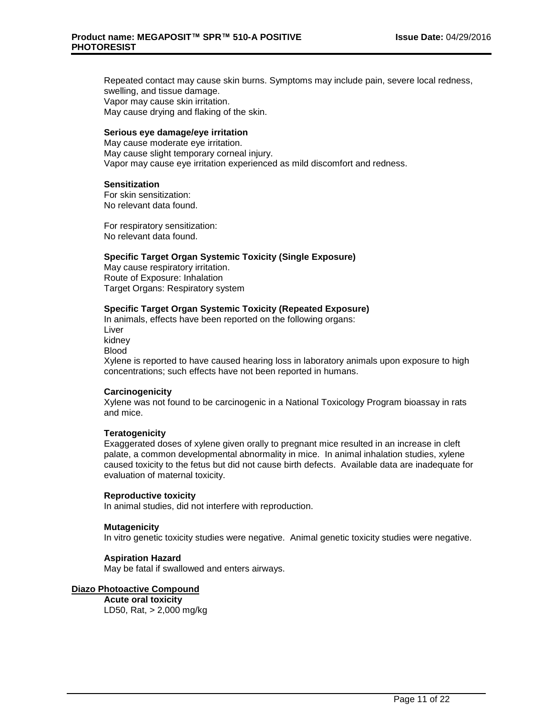Repeated contact may cause skin burns. Symptoms may include pain, severe local redness, swelling, and tissue damage. Vapor may cause skin irritation. May cause drying and flaking of the skin.

#### **Serious eye damage/eye irritation**

May cause moderate eye irritation. May cause slight temporary corneal injury. Vapor may cause eye irritation experienced as mild discomfort and redness.

#### **Sensitization**

For skin sensitization: No relevant data found.

For respiratory sensitization: No relevant data found.

#### **Specific Target Organ Systemic Toxicity (Single Exposure)**

May cause respiratory irritation. Route of Exposure: Inhalation Target Organs: Respiratory system

#### **Specific Target Organ Systemic Toxicity (Repeated Exposure)**

In animals, effects have been reported on the following organs: Liver kidney Blood Xylene is reported to have caused hearing loss in laboratory animals upon exposure to high concentrations; such effects have not been reported in humans.

# **Carcinogenicity**

Xylene was not found to be carcinogenic in a National Toxicology Program bioassay in rats and mice.

# **Teratogenicity**

Exaggerated doses of xylene given orally to pregnant mice resulted in an increase in cleft palate, a common developmental abnormality in mice. In animal inhalation studies, xylene caused toxicity to the fetus but did not cause birth defects. Available data are inadequate for evaluation of maternal toxicity.

# **Reproductive toxicity**

In animal studies, did not interfere with reproduction.

#### **Mutagenicity**

In vitro genetic toxicity studies were negative. Animal genetic toxicity studies were negative.

# **Aspiration Hazard**

May be fatal if swallowed and enters airways.

# **Diazo Photoactive Compound**

**Acute oral toxicity** LD50, Rat, > 2,000 mg/kg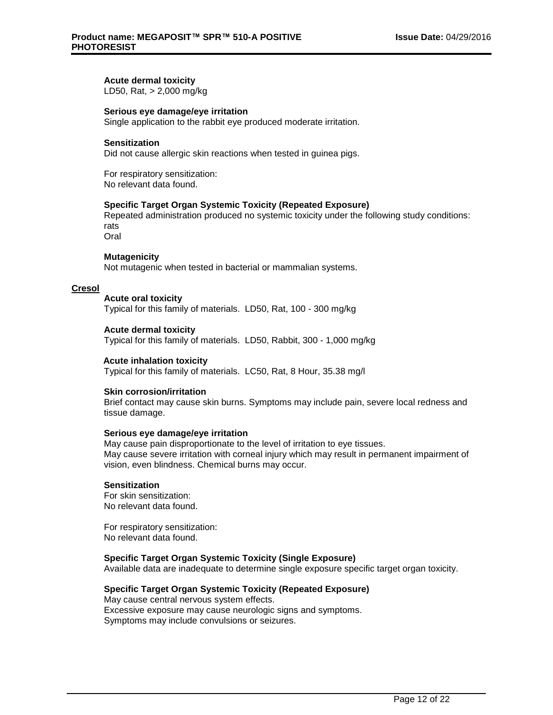# **Acute dermal toxicity**

LD50, Rat, > 2,000 mg/kg

#### **Serious eye damage/eye irritation**

Single application to the rabbit eye produced moderate irritation.

#### **Sensitization**

Did not cause allergic skin reactions when tested in guinea pigs.

For respiratory sensitization: No relevant data found.

## **Specific Target Organ Systemic Toxicity (Repeated Exposure)**

Repeated administration produced no systemic toxicity under the following study conditions: rats

Oral

#### **Mutagenicity**

Not mutagenic when tested in bacterial or mammalian systems.

#### **Cresol**

# **Acute oral toxicity**

Typical for this family of materials. LD50, Rat, 100 - 300 mg/kg

#### **Acute dermal toxicity**

Typical for this family of materials. LD50, Rabbit, 300 - 1,000 mg/kg

#### **Acute inhalation toxicity**

Typical for this family of materials. LC50, Rat, 8 Hour, 35.38 mg/l

#### **Skin corrosion/irritation**

Brief contact may cause skin burns. Symptoms may include pain, severe local redness and tissue damage.

#### **Serious eye damage/eye irritation**

May cause pain disproportionate to the level of irritation to eye tissues. May cause severe irritation with corneal injury which may result in permanent impairment of vision, even blindness. Chemical burns may occur.

#### **Sensitization**

For skin sensitization: No relevant data found.

For respiratory sensitization: No relevant data found.

## **Specific Target Organ Systemic Toxicity (Single Exposure)**

Available data are inadequate to determine single exposure specific target organ toxicity.

#### **Specific Target Organ Systemic Toxicity (Repeated Exposure)**

May cause central nervous system effects. Excessive exposure may cause neurologic signs and symptoms. Symptoms may include convulsions or seizures.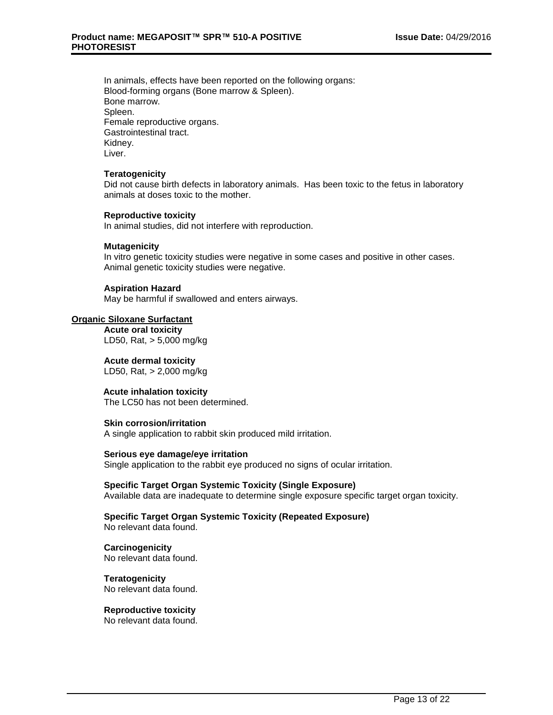In animals, effects have been reported on the following organs: Blood-forming organs (Bone marrow & Spleen). Bone marrow. Spleen. Female reproductive organs. Gastrointestinal tract. Kidney. Liver.

## **Teratogenicity**

Did not cause birth defects in laboratory animals. Has been toxic to the fetus in laboratory animals at doses toxic to the mother.

#### **Reproductive toxicity**

In animal studies, did not interfere with reproduction.

#### **Mutagenicity**

In vitro genetic toxicity studies were negative in some cases and positive in other cases. Animal genetic toxicity studies were negative.

# **Aspiration Hazard**

May be harmful if swallowed and enters airways.

#### **Organic Siloxane Surfactant**

**Acute oral toxicity** LD50, Rat, > 5,000 mg/kg

# **Acute dermal toxicity**

LD50, Rat, > 2,000 mg/kg

# **Acute inhalation toxicity**

The LC50 has not been determined.

# **Skin corrosion/irritation**

A single application to rabbit skin produced mild irritation.

#### **Serious eye damage/eye irritation**

Single application to the rabbit eye produced no signs of ocular irritation.

#### **Specific Target Organ Systemic Toxicity (Single Exposure)**

Available data are inadequate to determine single exposure specific target organ toxicity.

#### **Specific Target Organ Systemic Toxicity (Repeated Exposure)** No relevant data found.

**Carcinogenicity** No relevant data found.

**Teratogenicity** No relevant data found.

# **Reproductive toxicity**

No relevant data found.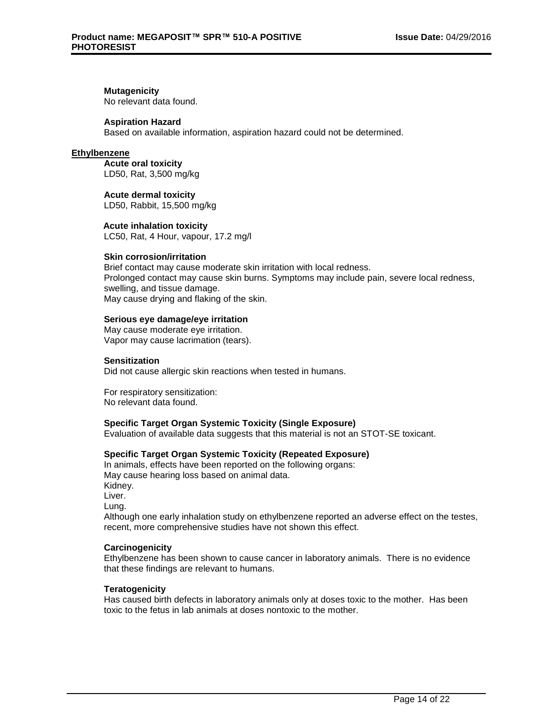# **Mutagenicity**

No relevant data found.

# **Aspiration Hazard**

Based on available information, aspiration hazard could not be determined.

# **Ethylbenzene**

**Acute oral toxicity** LD50, Rat, 3,500 mg/kg

**Acute dermal toxicity** LD50, Rabbit, 15,500 mg/kg

#### **Acute inhalation toxicity**

LC50, Rat, 4 Hour, vapour, 17.2 mg/l

#### **Skin corrosion/irritation**

Brief contact may cause moderate skin irritation with local redness. Prolonged contact may cause skin burns. Symptoms may include pain, severe local redness, swelling, and tissue damage. May cause drying and flaking of the skin.

#### **Serious eye damage/eye irritation**

May cause moderate eye irritation. Vapor may cause lacrimation (tears).

## **Sensitization**

Did not cause allergic skin reactions when tested in humans.

For respiratory sensitization: No relevant data found.

# **Specific Target Organ Systemic Toxicity (Single Exposure)**

Evaluation of available data suggests that this material is not an STOT-SE toxicant.

# **Specific Target Organ Systemic Toxicity (Repeated Exposure)**

In animals, effects have been reported on the following organs: May cause hearing loss based on animal data. Kidney. Liver. Lung. Although one early inhalation study on ethylbenzene reported an adverse effect on the testes, recent, more comprehensive studies have not shown this effect.

#### **Carcinogenicity**

Ethylbenzene has been shown to cause cancer in laboratory animals. There is no evidence that these findings are relevant to humans.

# **Teratogenicity**

Has caused birth defects in laboratory animals only at doses toxic to the mother. Has been toxic to the fetus in lab animals at doses nontoxic to the mother.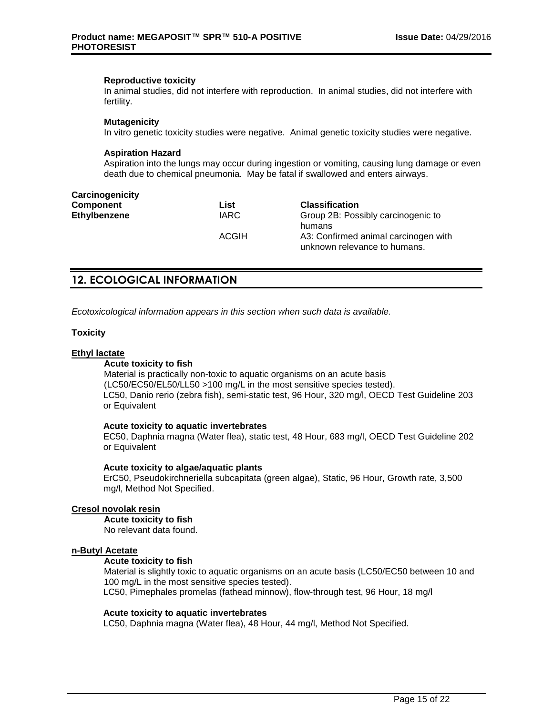#### **Reproductive toxicity**

In animal studies, did not interfere with reproduction. In animal studies, did not interfere with fertility.

#### **Mutagenicity**

In vitro genetic toxicity studies were negative. Animal genetic toxicity studies were negative.

## **Aspiration Hazard**

Aspiration into the lungs may occur during ingestion or vomiting, causing lung damage or even death due to chemical pneumonia. May be fatal if swallowed and enters airways.

| Carcinogenicity     |              |                                                                      |
|---------------------|--------------|----------------------------------------------------------------------|
| Component           | List         | <b>Classification</b>                                                |
| <b>Ethylbenzene</b> | <b>IARC</b>  | Group 2B: Possibly carcinogenic to<br>humans                         |
|                     | <b>ACGIH</b> | A3: Confirmed animal carcinogen with<br>unknown relevance to humans. |

# **12. ECOLOGICAL INFORMATION**

*Ecotoxicological information appears in this section when such data is available.*

# **Toxicity**

# **Ethyl lactate**

# **Acute toxicity to fish**

Material is practically non-toxic to aquatic organisms on an acute basis (LC50/EC50/EL50/LL50 >100 mg/L in the most sensitive species tested). LC50, Danio rerio (zebra fish), semi-static test, 96 Hour, 320 mg/l, OECD Test Guideline 203 or Equivalent

# **Acute toxicity to aquatic invertebrates**

EC50, Daphnia magna (Water flea), static test, 48 Hour, 683 mg/l, OECD Test Guideline 202 or Equivalent

# **Acute toxicity to algae/aquatic plants**

ErC50, Pseudokirchneriella subcapitata (green algae), Static, 96 Hour, Growth rate, 3,500 mg/l, Method Not Specified.

# **Cresol novolak resin**

**Acute toxicity to fish** No relevant data found.

# **n-Butyl Acetate**

#### **Acute toxicity to fish**

Material is slightly toxic to aquatic organisms on an acute basis (LC50/EC50 between 10 and 100 mg/L in the most sensitive species tested).

LC50, Pimephales promelas (fathead minnow), flow-through test, 96 Hour, 18 mg/l

#### **Acute toxicity to aquatic invertebrates**

LC50, Daphnia magna (Water flea), 48 Hour, 44 mg/l, Method Not Specified.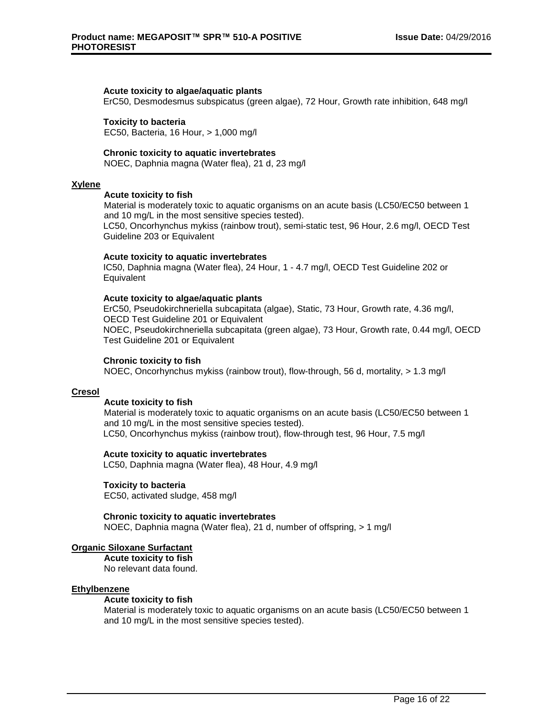#### **Acute toxicity to algae/aquatic plants**

ErC50, Desmodesmus subspicatus (green algae), 72 Hour, Growth rate inhibition, 648 mg/l

#### **Toxicity to bacteria**

EC50, Bacteria, 16 Hour, > 1,000 mg/l

#### **Chronic toxicity to aquatic invertebrates**

NOEC, Daphnia magna (Water flea), 21 d, 23 mg/l

#### **Xylene**

#### **Acute toxicity to fish**

Material is moderately toxic to aquatic organisms on an acute basis (LC50/EC50 between 1 and 10 mg/L in the most sensitive species tested).

LC50, Oncorhynchus mykiss (rainbow trout), semi-static test, 96 Hour, 2.6 mg/l, OECD Test Guideline 203 or Equivalent

#### **Acute toxicity to aquatic invertebrates**

IC50, Daphnia magna (Water flea), 24 Hour, 1 - 4.7 mg/l, OECD Test Guideline 202 or **Equivalent** 

#### **Acute toxicity to algae/aquatic plants**

ErC50, Pseudokirchneriella subcapitata (algae), Static, 73 Hour, Growth rate, 4.36 mg/l, OECD Test Guideline 201 or Equivalent NOEC, Pseudokirchneriella subcapitata (green algae), 73 Hour, Growth rate, 0.44 mg/l, OECD Test Guideline 201 or Equivalent

## **Chronic toxicity to fish**

NOEC, Oncorhynchus mykiss (rainbow trout), flow-through, 56 d, mortality, > 1.3 mg/l

#### **Cresol**

#### **Acute toxicity to fish**

Material is moderately toxic to aquatic organisms on an acute basis (LC50/EC50 between 1 and 10 mg/L in the most sensitive species tested). LC50, Oncorhynchus mykiss (rainbow trout), flow-through test, 96 Hour, 7.5 mg/l

#### **Acute toxicity to aquatic invertebrates**

LC50, Daphnia magna (Water flea), 48 Hour, 4.9 mg/l

# **Toxicity to bacteria**

EC50, activated sludge, 458 mg/l

#### **Chronic toxicity to aquatic invertebrates**

NOEC, Daphnia magna (Water flea), 21 d, number of offspring, > 1 mg/l

#### **Organic Siloxane Surfactant**

**Acute toxicity to fish** No relevant data found.

#### **Ethylbenzene**

#### **Acute toxicity to fish**

Material is moderately toxic to aquatic organisms on an acute basis (LC50/EC50 between 1 and 10 mg/L in the most sensitive species tested).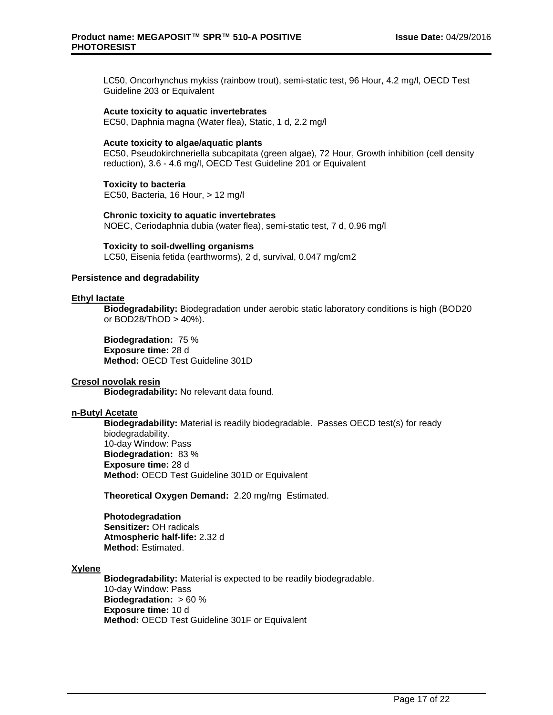LC50, Oncorhynchus mykiss (rainbow trout), semi-static test, 96 Hour, 4.2 mg/l, OECD Test Guideline 203 or Equivalent

**Acute toxicity to aquatic invertebrates**

EC50, Daphnia magna (Water flea), Static, 1 d, 2.2 mg/l

#### **Acute toxicity to algae/aquatic plants**

EC50, Pseudokirchneriella subcapitata (green algae), 72 Hour, Growth inhibition (cell density reduction), 3.6 - 4.6 mg/l, OECD Test Guideline 201 or Equivalent

**Toxicity to bacteria** EC50, Bacteria, 16 Hour, > 12 mg/l

**Chronic toxicity to aquatic invertebrates** NOEC, Ceriodaphnia dubia (water flea), semi-static test, 7 d, 0.96 mg/l

**Toxicity to soil-dwelling organisms** LC50, Eisenia fetida (earthworms), 2 d, survival, 0.047 mg/cm2

#### **Persistence and degradability**

#### **Ethyl lactate**

**Biodegradability:** Biodegradation under aerobic static laboratory conditions is high (BOD20 or BOD28/ThOD > 40%).

**Biodegradation:** 75 % **Exposure time:** 28 d **Method:** OECD Test Guideline 301D

# **Cresol novolak resin**

**Biodegradability:** No relevant data found.

#### **n-Butyl Acetate**

**Biodegradability:** Material is readily biodegradable. Passes OECD test(s) for ready biodegradability. 10-day Window: Pass **Biodegradation:** 83 % **Exposure time:** 28 d **Method:** OECD Test Guideline 301D or Equivalent

**Theoretical Oxygen Demand:** 2.20 mg/mg Estimated.

**Photodegradation Sensitizer:** OH radicals **Atmospheric half-life:** 2.32 d **Method:** Estimated.

#### **Xylene**

**Biodegradability:** Material is expected to be readily biodegradable. 10-day Window: Pass **Biodegradation:** > 60 % **Exposure time:** 10 d **Method:** OECD Test Guideline 301F or Equivalent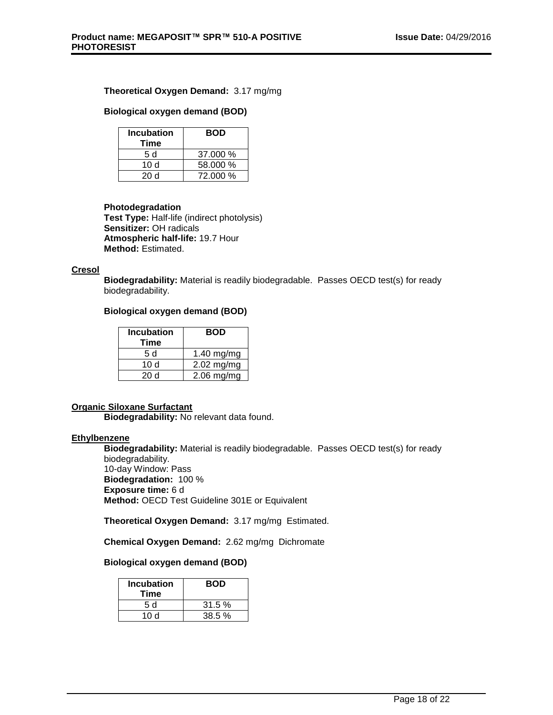# **Theoretical Oxygen Demand:** 3.17 mg/mg

# **Biological oxygen demand (BOD)**

| <b>Incubation</b><br>Time | <b>BOD</b> |
|---------------------------|------------|
| 5 d                       | 37.000 %   |
| 10 d                      | 58.000 %   |
| 20 Y                      | 72.000 %   |

# **Photodegradation**

**Test Type:** Half-life (indirect photolysis) **Sensitizer:** OH radicals **Atmospheric half-life:** 19.7 Hour **Method:** Estimated.

# **Cresol**

**Biodegradability:** Material is readily biodegradable. Passes OECD test(s) for ready biodegradability.

# **Biological oxygen demand (BOD)**

| <b>Incubation</b><br>Time | BOD          |
|---------------------------|--------------|
| 5 d                       | $1.40$ mg/mg |
| 10d                       | $2.02$ mg/mg |
| 20 Y                      | $2.06$ mg/mg |

# **Organic Siloxane Surfactant**

**Biodegradability:** No relevant data found.

# **Ethylbenzene**

**Biodegradability:** Material is readily biodegradable. Passes OECD test(s) for ready biodegradability. 10-day Window: Pass **Biodegradation:** 100 % **Exposure time:** 6 d **Method:** OECD Test Guideline 301E or Equivalent

**Theoretical Oxygen Demand:** 3.17 mg/mg Estimated.

**Chemical Oxygen Demand:** 2.62 mg/mg Dichromate

# **Biological oxygen demand (BOD)**

| <b>Incubation</b><br>Time | <b>BOD</b> |
|---------------------------|------------|
| 5 d                       | 31.5%      |
| 10 $d$                    | 38.5%      |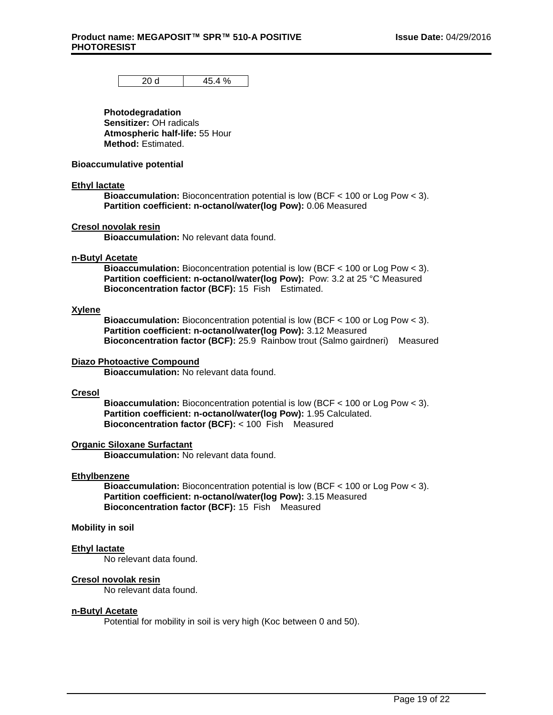20 d  $45.4 \%$ 

**Photodegradation Sensitizer:** OH radicals **Atmospheric half-life:** 55 Hour **Method:** Estimated.

#### **Bioaccumulative potential**

#### **Ethyl lactate**

**Bioaccumulation:** Bioconcentration potential is low (BCF < 100 or Log Pow < 3). **Partition coefficient: n-octanol/water(log Pow):** 0.06 Measured

#### **Cresol novolak resin**

**Bioaccumulation:** No relevant data found.

# **n-Butyl Acetate**

**Bioaccumulation:** Bioconcentration potential is low (BCF < 100 or Log Pow < 3). **Partition coefficient: n-octanol/water(log Pow):** Pow: 3.2 at 25 °C Measured **Bioconcentration factor (BCF):** 15 Fish Estimated.

#### **Xylene**

**Bioaccumulation:** Bioconcentration potential is low (BCF < 100 or Log Pow < 3). **Partition coefficient: n-octanol/water(log Pow):** 3.12 Measured **Bioconcentration factor (BCF):** 25.9 Rainbow trout (Salmo gairdneri) Measured

#### **Diazo Photoactive Compound**

**Bioaccumulation:** No relevant data found.

#### **Cresol**

**Bioaccumulation:** Bioconcentration potential is low (BCF < 100 or Log Pow < 3). **Partition coefficient: n-octanol/water(log Pow):** 1.95 Calculated. **Bioconcentration factor (BCF):** < 100 Fish Measured

#### **Organic Siloxane Surfactant**

**Bioaccumulation:** No relevant data found.

#### **Ethylbenzene**

**Bioaccumulation:** Bioconcentration potential is low (BCF < 100 or Log Pow < 3). **Partition coefficient: n-octanol/water(log Pow):** 3.15 Measured **Bioconcentration factor (BCF):** 15 Fish Measured

# **Mobility in soil**

#### **Ethyl lactate**

No relevant data found.

#### **Cresol novolak resin**

No relevant data found.

## **n-Butyl Acetate**

Potential for mobility in soil is very high (Koc between 0 and 50).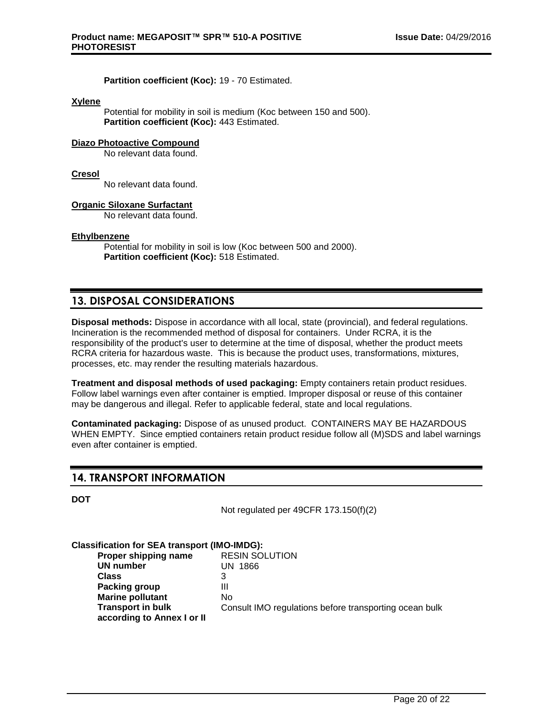**Partition coefficient (Koc):** 19 - 70 Estimated.

#### **Xylene**

Potential for mobility in soil is medium (Koc between 150 and 500). **Partition coefficient (Koc):** 443 Estimated.

# **Diazo Photoactive Compound**

No relevant data found.

# **Cresol**

No relevant data found.

# **Organic Siloxane Surfactant**

No relevant data found.

#### **Ethylbenzene**

Potential for mobility in soil is low (Koc between 500 and 2000). **Partition coefficient (Koc):** 518 Estimated.

# **13. DISPOSAL CONSIDERATIONS**

**Disposal methods:** Dispose in accordance with all local, state (provincial), and federal regulations. Incineration is the recommended method of disposal for containers. Under RCRA, it is the responsibility of the product's user to determine at the time of disposal, whether the product meets RCRA criteria for hazardous waste. This is because the product uses, transformations, mixtures, processes, etc. may render the resulting materials hazardous.

**Treatment and disposal methods of used packaging:** Empty containers retain product residues. Follow label warnings even after container is emptied. Improper disposal or reuse of this container may be dangerous and illegal. Refer to applicable federal, state and local regulations.

**Contaminated packaging:** Dispose of as unused product. CONTAINERS MAY BE HAZARDOUS WHEN EMPTY. Since emptied containers retain product residue follow all (M)SDS and label warnings even after container is emptied.

# **14. TRANSPORT INFORMATION**

**DOT**

Not regulated per 49CFR 173.150(f)(2)

#### **Classification for SEA transport (IMO-IMDG): Proper shipping name** RESIN SOLUTION **UN number** UN 1866 **Class** 3 **Packing group** III **Marine pollutant** No **Transport in bulk according to Annex I or II** Consult IMO regulations before transporting ocean bulk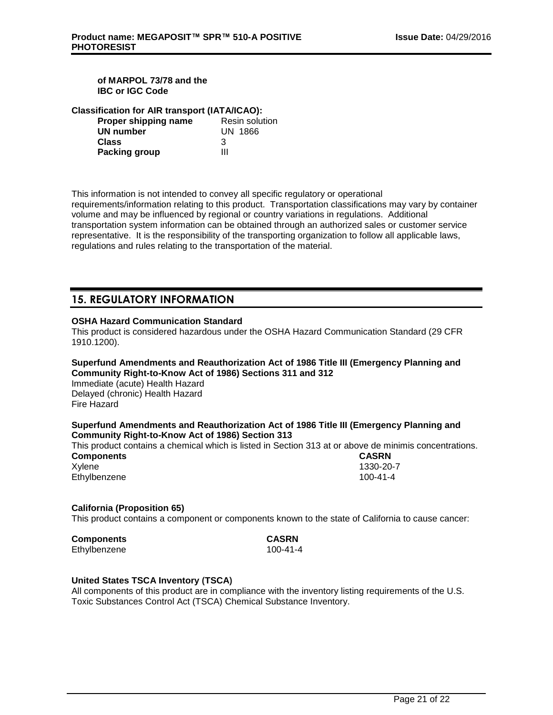# **of MARPOL 73/78 and the IBC or IGC Code**

|  |  |  |  | <b>Classification for AIR transport (IATA/ICAO):</b> |
|--|--|--|--|------------------------------------------------------|
|--|--|--|--|------------------------------------------------------|

| Proper shipping name | <b>Resin solution</b> |
|----------------------|-----------------------|
| UN number            | UN 1866               |
| <b>Class</b>         | 3                     |
| <b>Packing group</b> | ш                     |

This information is not intended to convey all specific regulatory or operational requirements/information relating to this product. Transportation classifications may vary by container volume and may be influenced by regional or country variations in regulations. Additional transportation system information can be obtained through an authorized sales or customer service representative. It is the responsibility of the transporting organization to follow all applicable laws, regulations and rules relating to the transportation of the material.

# **15. REGULATORY INFORMATION**

# **OSHA Hazard Communication Standard**

This product is considered hazardous under the OSHA Hazard Communication Standard (29 CFR 1910.1200).

# **Superfund Amendments and Reauthorization Act of 1986 Title III (Emergency Planning and Community Right-to-Know Act of 1986) Sections 311 and 312**

Immediate (acute) Health Hazard Delayed (chronic) Health Hazard Fire Hazard

# **Superfund Amendments and Reauthorization Act of 1986 Title III (Emergency Planning and Community Right-to-Know Act of 1986) Section 313**

This product contains a chemical which is listed in Section 313 at or above de minimis concentrations.

| <b>Components</b> | <b>CASRN</b> |
|-------------------|--------------|
| Xylene            | 1330-20-     |
| Ethylbenzene      | 100-41-4     |

1330-20-7

# **California (Proposition 65)**

This product contains a component or components known to the state of California to cause cancer:

| Components   |  |
|--------------|--|
| Ethylbenzene |  |

**Components CASRN**  $100 - 41 - 4$ 

# **United States TSCA Inventory (TSCA)**

All components of this product are in compliance with the inventory listing requirements of the U.S. Toxic Substances Control Act (TSCA) Chemical Substance Inventory.